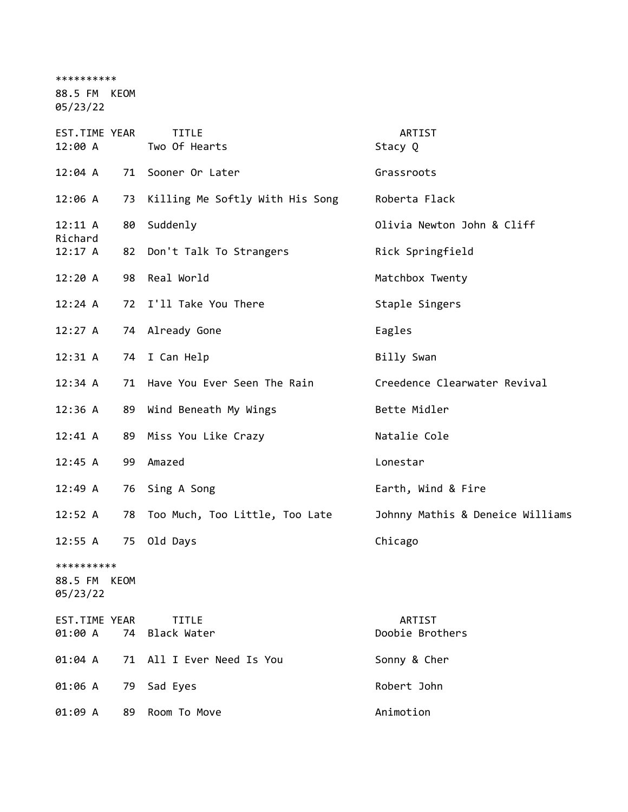\*\*\*\*\*\*\*\*\*\*

88.5 FM KEOM

05/23/22

| EST.TIME YEAR<br>12:00 A               |    | <b>TITLE</b><br>Two Of Hearts   | ARTIST<br>Stacy Q                |
|----------------------------------------|----|---------------------------------|----------------------------------|
| 12:04 A                                | 71 | Sooner Or Later                 | Grassroots                       |
| 12:06 A                                | 73 | Killing Me Softly With His Song | Roberta Flack                    |
| 12:11 A                                | 80 | Suddenly                        | Olivia Newton John & Cliff       |
| Richard<br>12:17 A                     |    | 82 Don't Talk To Strangers      | Rick Springfield                 |
| 12:20A                                 | 98 | Real World                      | Matchbox Twenty                  |
| 12:24 A                                |    | 72 I'll Take You There          | Staple Singers                   |
| 12:27 A                                |    | 74 Already Gone                 | Eagles                           |
| 12:31 A                                |    | 74 I Can Help                   | Billy Swan                       |
| 12:34 A                                |    | 71 Have You Ever Seen The Rain  | Creedence Clearwater Revival     |
| 12:36 A                                |    | 89 Wind Beneath My Wings        | Bette Midler                     |
| 12:41 A                                | 89 | Miss You Like Crazy             | Natalie Cole                     |
| 12:45 A                                | 99 | Amazed                          | Lonestar                         |
| 12:49 A                                |    | 76 Sing A Song                  | Earth, Wind & Fire               |
| 12:52 A                                | 78 | Too Much, Too Little, Too Late  | Johnny Mathis & Deneice Williams |
| 12:55 A                                | 75 | Old Days                        | Chicago                          |
| **********<br>88.5 FM KEOM<br>05/23/22 |    |                                 |                                  |
| EST.TIME YEAR<br>01:00 A               |    | TITLE<br>74 Black Water         | ARTIST<br>Doobie Brothers        |
| 01:04 A                                |    | 71 All I Ever Need Is You       | Sonny & Cher                     |
| 01:06 A                                | 79 | Sad Eyes                        | Robert John                      |
| 01:09 A                                | 89 | Room To Move                    | Animotion                        |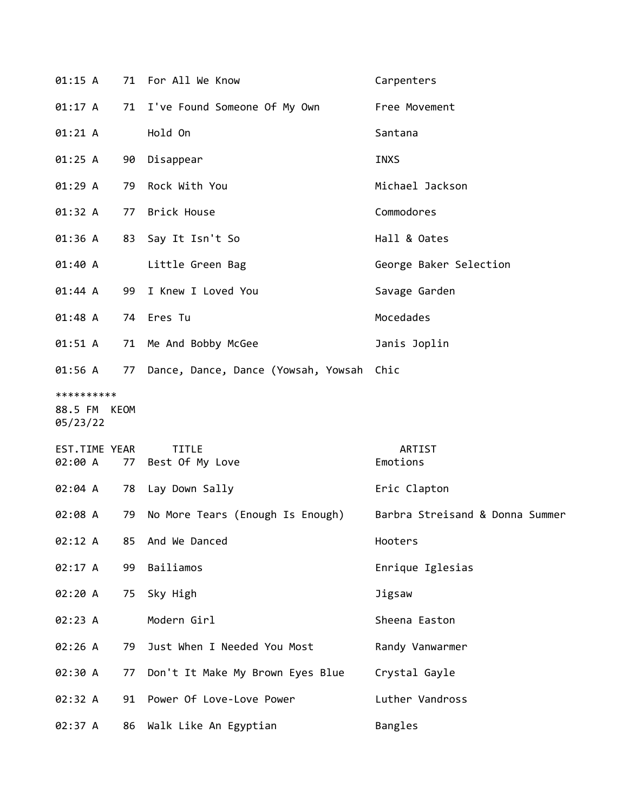| 01:15 A                    |    | 71 For All We Know                                                  | Carpenters             |
|----------------------------|----|---------------------------------------------------------------------|------------------------|
| 01:17 A                    |    | 71 I've Found Someone Of My Own                                     | Free Movement          |
| 01:21 A                    |    | Hold On                                                             | Santana                |
| 01:25 A                    | 90 | Disappear                                                           | <b>INXS</b>            |
| 01:29 A                    |    | 79 Rock With You                                                    | Michael Jackson        |
| 01:32 A                    |    | 77 Brick House                                                      | Commodores             |
| 01:36 A                    | 83 | Say It Isn't So                                                     | Hall & Oates           |
| 01:40 A                    |    | Little Green Bag                                                    | George Baker Selection |
| 01:44 A                    |    | 99 I Knew I Loved You                                               | Savage Garden          |
| 01:48 A                    |    | 74 Eres Tu                                                          | Mocedades              |
| 01:51 A                    |    | 71 Me And Bobby McGee                                               | Janis Joplin           |
| 01:56 A                    |    | 77 Dance, Dance, Dance (Yowsah, Yowsah Chic                         |                        |
| **********<br>88.5 FM KEOM |    |                                                                     |                        |
| 05/23/22                   |    |                                                                     |                        |
| EST.TIME YEAR<br>02:00 A   |    | <b>TITLE</b><br>77 Best Of My Love                                  | ARTIST<br>Emotions     |
| 02:04 A                    |    | 78 Lay Down Sally                                                   | Eric Clapton           |
| 02:08 A                    |    | 79 No More Tears (Enough Is Enough) Barbra Streisand & Donna Summer |                        |
| 02:12 A                    | 85 | And We Danced                                                       | Hooters                |
| 02:17 A                    | 99 | Bailiamos                                                           | Enrique Iglesias       |
| 02:20 A                    | 75 | Sky High                                                            | Jigsaw                 |
| 02:23 A                    |    | Modern Girl                                                         | Sheena Easton          |
| 02:26 A                    | 79 | Just When I Needed You Most                                         | Randy Vanwarmer        |
| 02:30 A                    | 77 | Don't It Make My Brown Eyes Blue                                    | Crystal Gayle          |
| 02:32 A                    |    | 91 Power Of Love-Love Power                                         | Luther Vandross        |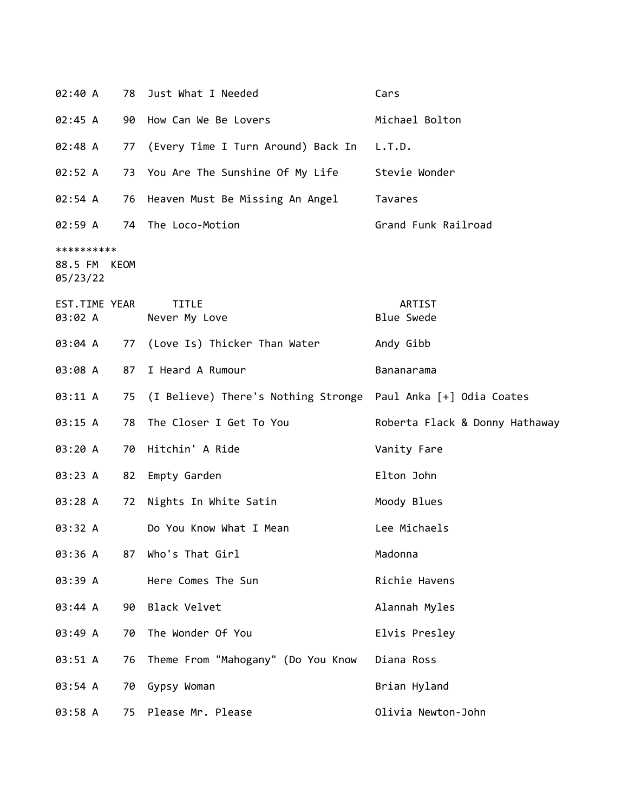| 02:40 A                                | 78 | Just What I Needed                                               | Cars                           |
|----------------------------------------|----|------------------------------------------------------------------|--------------------------------|
| 02:45 A                                |    | 90 How Can We Be Lovers                                          | Michael Bolton                 |
| 02:48 A                                |    | 77 (Every Time I Turn Around) Back In                            | L.T.D.                         |
| 02:52 A                                |    | 73 You Are The Sunshine Of My Life                               | Stevie Wonder                  |
| 02:54 A                                | 76 | Heaven Must Be Missing An Angel                                  | Tavares                        |
| 02:59 A                                |    | 74 The Loco-Motion                                               | Grand Funk Railroad            |
| **********<br>88.5 FM KEOM<br>05/23/22 |    |                                                                  |                                |
| EST.TIME YEAR<br>03:02 A               |    | <b>TITLE</b><br>Never My Love                                    | ARTIST<br><b>Blue Swede</b>    |
| 03:04 A                                | 77 | (Love Is) Thicker Than Water                                     | Andy Gibb                      |
| 03:08 A                                | 87 | I Heard A Rumour                                                 | Bananarama                     |
| 03:11 A                                |    | 75 (I Believe) There's Nothing Stronge Paul Anka [+] Odia Coates |                                |
| 03:15 A                                | 78 | The Closer I Get To You                                          | Roberta Flack & Donny Hathaway |
| 03:20 A                                | 70 | Hitchin' A Ride                                                  | Vanity Fare                    |
| 03:23 A                                | 82 | Empty Garden                                                     | Elton John                     |
| 03:28 A                                | 72 | Nights In White Satin                                            | Moody Blues                    |
| 03:32 A                                |    | Do You Know What I Mean                                          | Lee Michaels                   |
| 03:36 A                                | 87 | Who's That Girl                                                  | Madonna                        |
| 03:39 A                                |    | Here Comes The Sun                                               | Richie Havens                  |
| 03:44 A                                | 90 | Black Velvet                                                     | Alannah Myles                  |
| 03:49 A                                | 70 | The Wonder Of You                                                | Elvis Presley                  |
| 03:51 A                                | 76 | Theme From "Mahogany" (Do You Know                               | Diana Ross                     |
| 03:54 A                                | 70 | Gypsy Woman                                                      | Brian Hyland                   |
| 03:58 A                                | 75 | Please Mr. Please                                                | Olivia Newton-John             |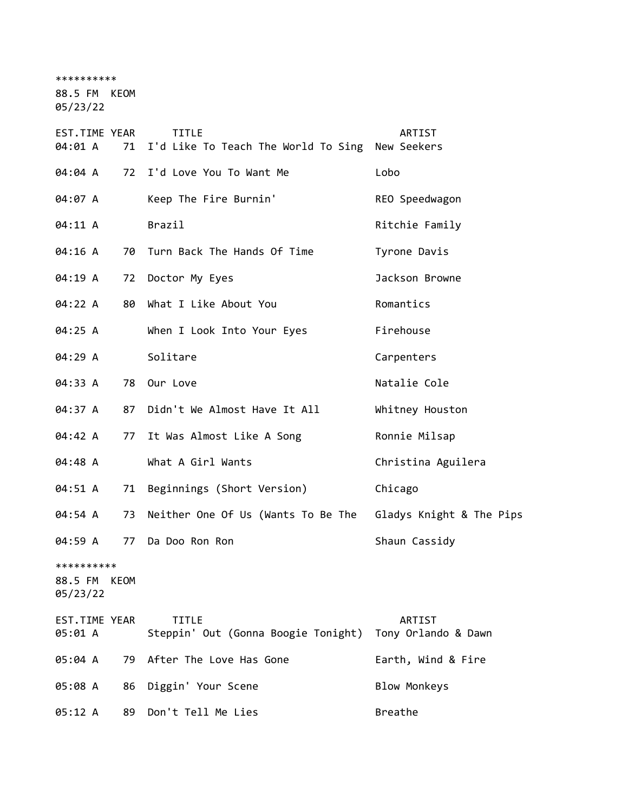\*\*\*\*\*\*\*\*\*\*

88.5 FM KEOM

05/23/22

| EST.TIME YEAR<br>04:01 A<br>71         | <b>TITLE</b><br>I'd Like To Teach The World To Sing New Seekers | ARTIST                        |
|----------------------------------------|-----------------------------------------------------------------|-------------------------------|
| 04:04 A                                | 72 I'd Love You To Want Me                                      | Lobo                          |
| 04:07 A                                | Keep The Fire Burnin'                                           | REO Speedwagon                |
| 04:11 A                                | Brazil                                                          | Ritchie Family                |
| 04:16 A<br>70                          | Turn Back The Hands Of Time                                     | Tyrone Davis                  |
| 04:19 A<br>72                          | Doctor My Eyes                                                  | Jackson Browne                |
| 04:22 A<br>80                          | What I Like About You                                           | Romantics                     |
| 04:25 A                                | When I Look Into Your Eyes                                      | Firehouse                     |
| 04:29 A                                | Solitare                                                        | Carpenters                    |
| 04:33 A<br>78                          | Our Love                                                        | Natalie Cole                  |
| 04:37 A<br>87                          | Didn't We Almost Have It All                                    | Whitney Houston               |
| 04:42 A<br>77                          | It Was Almost Like A Song                                       | Ronnie Milsap                 |
| 04:48 A                                | What A Girl Wants                                               | Christina Aguilera            |
| 04:51 A<br>71                          | Beginnings (Short Version)                                      | Chicago                       |
| 04:54 A<br>73                          | Neither One Of Us (Wants To Be The Gladys Knight & The Pips     |                               |
| 04:59 A<br>77                          | Da Doo Ron Ron                                                  | Shaun Cassidy                 |
| **********<br>88.5 FM KEOM<br>05/23/22 |                                                                 |                               |
| EST.TIME YEAR<br>05:01 A               | <b>TITLE</b><br>Steppin' Out (Gonna Boogie Tonight)             | ARTIST<br>Tony Orlando & Dawn |
| 05:04 A<br>79                          | After The Love Has Gone                                         | Earth, Wind & Fire            |
| 05:08 A<br>86                          | Diggin' Your Scene                                              | <b>Blow Monkeys</b>           |
| 05:12 A<br>89                          | Don't Tell Me Lies                                              | Breathe                       |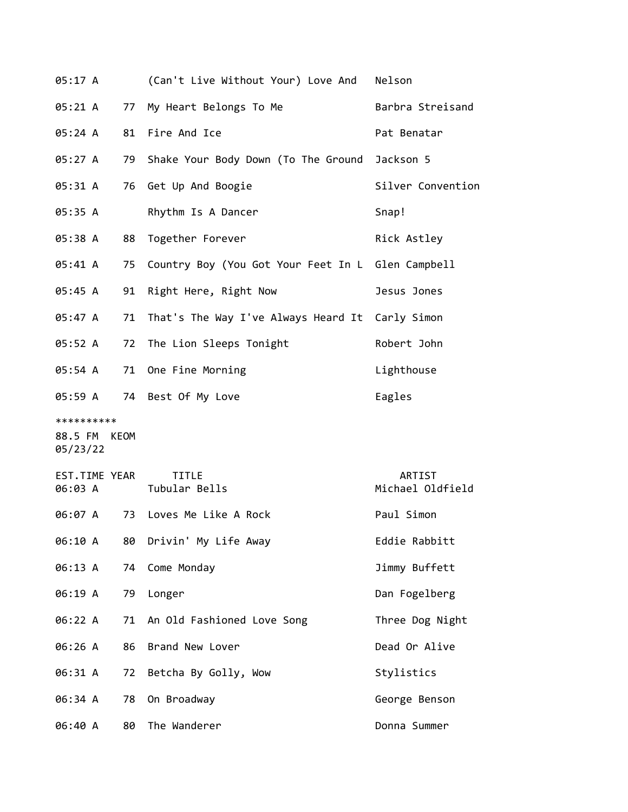| 05:17 A                  |    | (Can't Live Without Your) Love And                | Nelson                     |
|--------------------------|----|---------------------------------------------------|----------------------------|
| 05:21 A                  |    | 77 My Heart Belongs To Me                         | Barbra Streisand           |
| 05:24 A                  |    | 81 Fire And Ice                                   | Pat Benatar                |
| 05:27 A                  | 79 | Shake Your Body Down (To The Ground Jackson 5     |                            |
| 05:31 A                  |    | 76 Get Up And Boogie                              | Silver Convention          |
| 05:35 A                  |    | Rhythm Is A Dancer                                | Snap!                      |
| 05:38 A                  | 88 | Together Forever                                  | Rick Astley                |
| 05:41 A                  | 75 | Country Boy (You Got Your Feet In L Glen Campbell |                            |
| 05:45 A                  | 91 | Right Here, Right Now                             | Jesus Jones                |
| 05:47 A                  | 71 | That's The Way I've Always Heard It Carly Simon   |                            |
| 05:52 A                  | 72 | The Lion Sleeps Tonight                           | Robert John                |
| 05:54 A                  |    | 71 One Fine Morning                               | Lighthouse                 |
| 05:59 A                  |    | 74 Best Of My Love                                | Eagles                     |
| **********               |    |                                                   |                            |
| 88.5 FM KEOM<br>05/23/22 |    |                                                   |                            |
| EST.TIME YEAR<br>06:03 A |    | <b>TITLE</b><br>Tubular Bells                     | ARTIST<br>Michael Oldfield |
| 06:07 A                  | 73 | Loves Me Like A Rock                              | Paul Simon                 |
| 06:10 A                  | 80 | Drivin' My Life Away                              | Eddie Rabbitt              |
| 06:13 A                  | 74 | Come Monday                                       | Jimmy Buffett              |
| 06:19 A                  | 79 | Longer                                            | Dan Fogelberg              |
| 06:22 A                  | 71 | An Old Fashioned Love Song                        | Three Dog Night            |
| 06:26 A                  | 86 | Brand New Lover                                   | Dead Or Alive              |
| 06:31 A                  | 72 | Betcha By Golly, Wow                              | Stylistics                 |
| 06:34 A                  | 78 | On Broadway                                       | George Benson              |
| 06:40 A                  | 80 | The Wanderer                                      | Donna Summer               |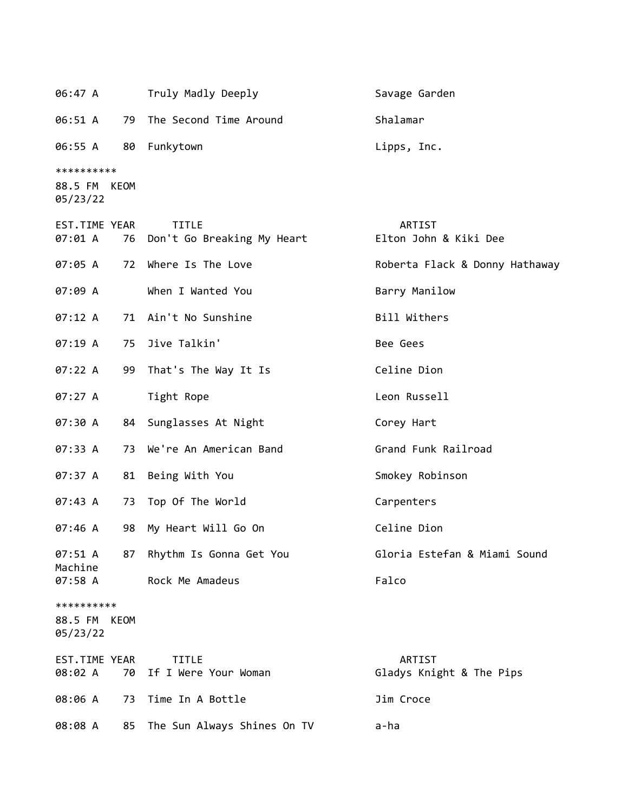| 06:47 A                                |      | Truly Madly Deeply                            | Savage Garden                      |
|----------------------------------------|------|-----------------------------------------------|------------------------------------|
| 06:51 A                                |      | 79 The Second Time Around                     | Shalamar                           |
| 06:55 A                                |      | 80 Funkytown                                  | Lipps, Inc.                        |
| **********<br>88.5 FM KEOM<br>05/23/22 |      |                                               |                                    |
| EST.TIME YEAR<br>07:01 A               |      | <b>TITLE</b><br>76 Don't Go Breaking My Heart | ARTIST<br>Elton John & Kiki Dee    |
| 07:05 A                                |      | 72 Where Is The Love                          | Roberta Flack & Donny Hathaway     |
| 07:09 A                                |      | When I Wanted You                             | Barry Manilow                      |
| 07:12 A                                |      | 71 Ain't No Sunshine                          | Bill Withers                       |
| 07:19A                                 | 75   | Jive Talkin'                                  | Bee Gees                           |
| 07:22 A                                |      | 99 That's The Way It Is                       | Celine Dion                        |
| 07:27 A                                |      | Tight Rope                                    | Leon Russell                       |
| 07:30 A                                |      | 84 Sunglasses At Night                        | Corey Hart                         |
| 07:33 A                                | 73   | We're An American Band                        | Grand Funk Railroad                |
| 07:37 A                                | 81   | Being With You                                | Smokey Robinson                    |
| 07:43 A                                |      | 73 Top Of The World                           | Carpenters                         |
| 07:46 A                                | 98   | My Heart Will Go On                           | Celine Dion                        |
| 07:51 A<br>Machine                     | 87   | Rhythm Is Gonna Get You                       | Gloria Estefan & Miami Sound       |
| 07:58 A                                |      | Rock Me Amadeus                               | Falco                              |
| **********<br>88.5 FM<br>05/23/22      | KEOM |                                               |                                    |
| EST.TIME YEAR<br>08:02 A               |      | <b>TITLE</b><br>70 If I Were Your Woman       | ARTIST<br>Gladys Knight & The Pips |
| 08:06 A                                |      | 73 Time In A Bottle                           | Jim Croce                          |
| 08:08 A                                | 85   | The Sun Always Shines On TV                   | a-ha                               |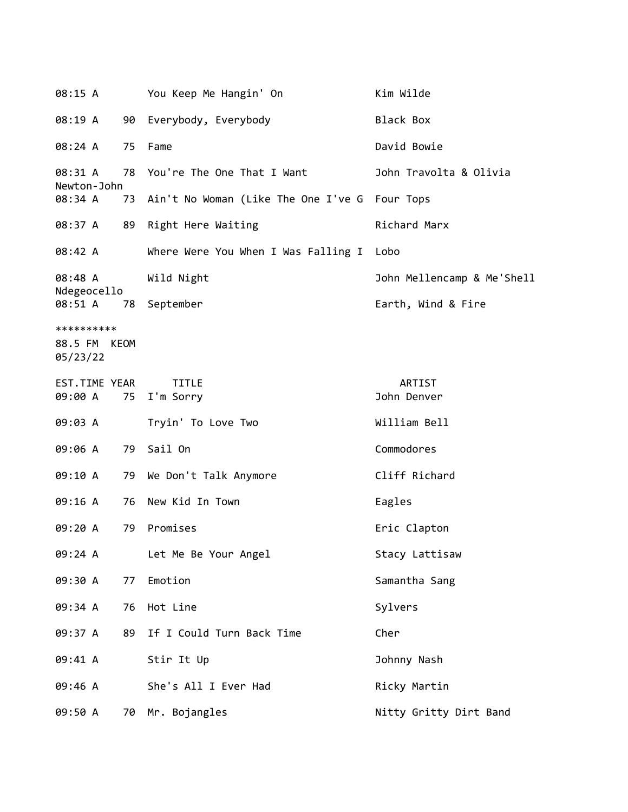08:15 A You Keep Me Hangin' On Kim Wilde 08:19 A 90 Everybody, Everybody Black Box 08:24 A 75 Fame David Bowie 08:31 A 78 You're The One That I Want John Travolta & Olivia Newton-John 08:34 A 73 Ain't No Woman (Like The One I've G Four Tops 08:37 A 89 Right Here Waiting The Richard Marx 08:42 A Where Were You When I Was Falling I Lobo 08:48 A Wild Night John Mellencamp & Me'Shell Ndegeocello 08:51 A 78 September **Earth, Wind & Fire** \*\*\*\*\*\*\*\*\*\* 88.5 FM KEOM 05/23/22 EST.TIME YEAR TITLE ARTIST 09:00 A 75 I'm Sorry John Denver 09:03 A Tryin' To Love Two William Bell 09:06 A 79 Sail On Commodores 09:10 A 79 We Don't Talk Anymore Cliff Richard 09:16 A 76 New Kid In Town Eagles 09:20 A 79 Promises Eric Clapton 09:24 A Let Me Be Your Angel Stacy Lattisaw 09:30 A 77 Emotion Samantha Sang 09:34 A 76 Hot Line Sylvers 09:37 A 89 If I Could Turn Back Time Cher 09:41 A Stir It Up 30hnny Nash 09:46 A She's All I Ever Had Ricky Martin 09:50 A 70 Mr. Bojangles **Nitty Gritty Dirt Band**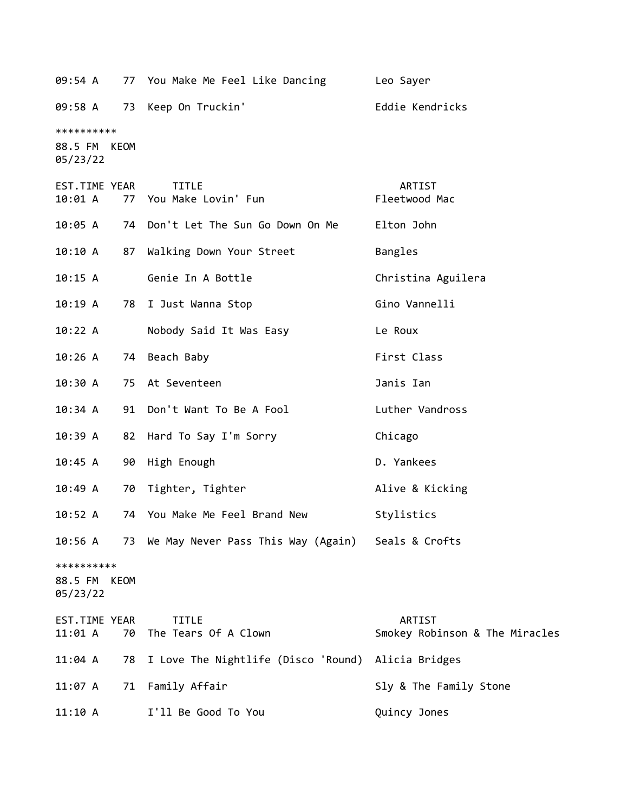| 09:54 A                                |    | 77 You Make Me Feel Like Dancing Leo Sayer           |                                          |
|----------------------------------------|----|------------------------------------------------------|------------------------------------------|
|                                        |    | 09:58 A 73 Keep On Truckin'                          | Eddie Kendricks                          |
| **********<br>88.5 FM KEOM<br>05/23/22 |    |                                                      |                                          |
| EST.TIME YEAR<br>10:01 A               |    | <b>TITLE</b><br>77 You Make Lovin' Fun               | ARTIST<br>Fleetwood Mac                  |
| 10:05 A                                |    | 74 Don't Let The Sun Go Down On Me                   | Elton John                               |
| 10:10 A                                | 87 | Walking Down Your Street                             | Bangles                                  |
| 10:15 A                                |    | Genie In A Bottle                                    | Christina Aguilera                       |
| 10:19A                                 | 78 | I Just Wanna Stop                                    | Gino Vannelli                            |
| 10:22 A                                |    | Nobody Said It Was Easy                              | Le Roux                                  |
| 10:26A                                 | 74 | Beach Baby                                           | First Class                              |
| 10:30 A                                |    | 75 At Seventeen                                      | Janis Ian                                |
| 10:34 A                                |    | 91 Don't Want To Be A Fool                           | Luther Vandross                          |
| 10:39 A                                | 82 | Hard To Say I'm Sorry                                | Chicago                                  |
| 10:45 A                                | 90 | High Enough                                          | D. Yankees                               |
| 10:49A                                 | 70 | Tighter, Tighter                                     | Alive & Kicking                          |
| 10:52 A                                |    | 74 You Make Me Feel Brand New                        | Stylistics                               |
| 10:56 A                                |    | 73 We May Never Pass This Way (Again) Seals & Crofts |                                          |
| **********<br>88.5 FM KEOM<br>05/23/22 |    |                                                      |                                          |
| EST.TIME YEAR<br>11:01 A               | 70 | <b>TITLE</b><br>The Tears Of A Clown                 | ARTIST<br>Smokey Robinson & The Miracles |
| $11:04$ A                              | 78 | I Love The Nightlife (Disco 'Round)                  | Alicia Bridges                           |
| 11:07 A                                | 71 | Family Affair                                        | Sly & The Family Stone                   |
| 11:10 A                                |    | I'll Be Good To You                                  | Quincy Jones                             |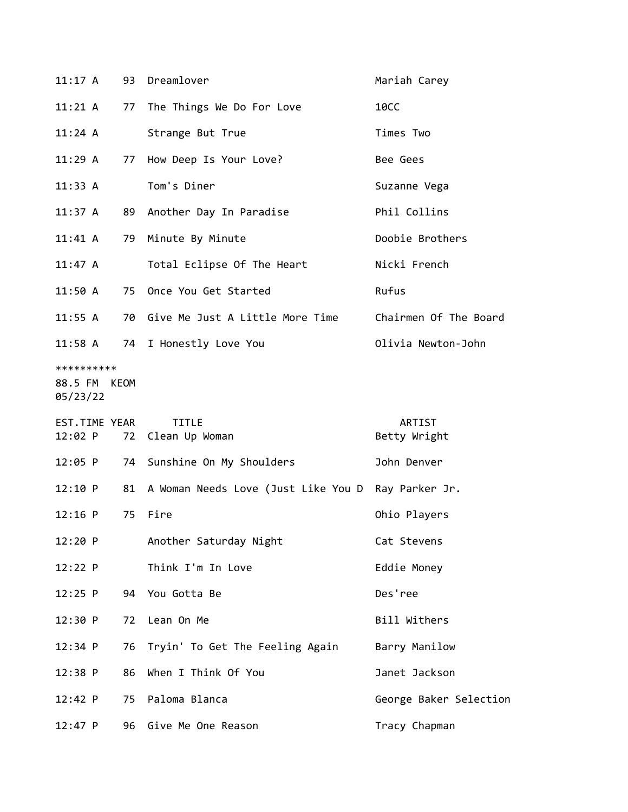| 11:17A                            |      | 93 Dreamlover                          | Mariah Carey           |
|-----------------------------------|------|----------------------------------------|------------------------|
| $11:21 \; \text{A}$               |      | 77 The Things We Do For Love           | <b>10CC</b>            |
| 11:24 A                           |      | Strange But True                       | Times Two              |
| 11:29A                            |      | 77 How Deep Is Your Love?              | Bee Gees               |
| 11:33 A                           |      | Tom's Diner                            | Suzanne Vega           |
| 11:37 A                           |      | 89 Another Day In Paradise             | Phil Collins           |
| 11:41 A                           |      | 79 Minute By Minute                    | Doobie Brothers        |
| 11:47 A                           |      | Total Eclipse Of The Heart             | Nicki French           |
| 11:50 A                           |      | 75 Once You Get Started                | Rufus                  |
| 11:55 A                           |      | 70 Give Me Just A Little More Time     | Chairmen Of The Board  |
| $11:58$ A                         |      | 74 I Honestly Love You                 | Olivia Newton-John     |
| **********<br>88.5 FM<br>05/23/22 | KEOM |                                        |                        |
|                                   |      |                                        |                        |
| EST.TIME YEAR<br>12:02 P          |      | <b>TITLE</b><br>72 Clean Up Woman      | ARTIST<br>Betty Wright |
| $12:05$ P                         |      | 74 Sunshine On My Shoulders            | John Denver            |
| 12:10 P                           |      | 81 A Woman Needs Love (Just Like You D | Ray Parker Jr.         |
| $12:16$ P                         | 75   | Fire                                   | Ohio Players           |
| 12:20 P                           |      | Another Saturday Night                 | Cat Stevens            |
| 12:22 P                           |      | Think I'm In Love                      | Eddie Money            |
| $12:25$ P                         |      | 94 You Gotta Be                        | Des'ree                |
| 12:30 P                           | 72   | Lean On Me                             | Bill Withers           |
| 12:34 P                           | 76   | Tryin' To Get The Feeling Again        | Barry Manilow          |
| 12:38 P                           | 86   | When I Think Of You                    | Janet Jackson          |
| 12:42 P                           | 75   | Paloma Blanca                          | George Baker Selection |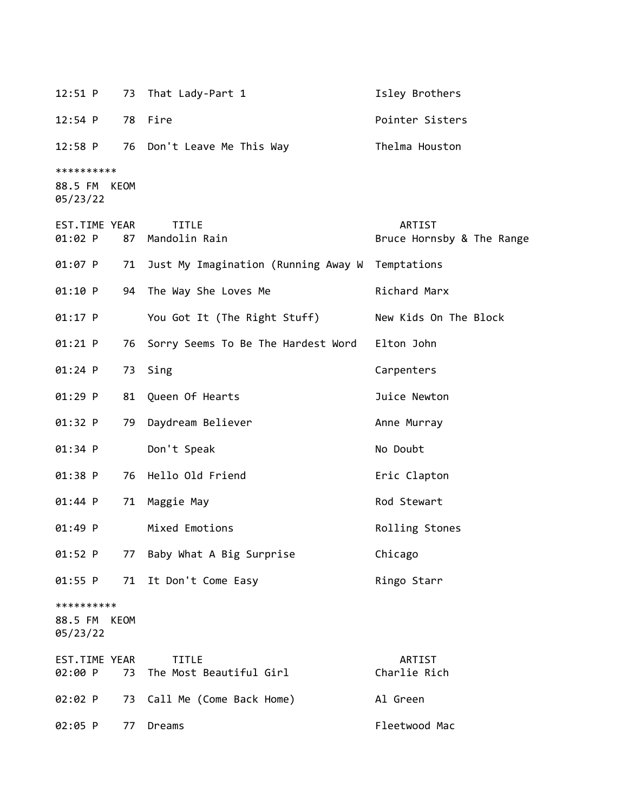12:51 P 73 That Lady-Part 1 1 1sley Brothers 12:54 P 78 Fire **Pointer Sisters** 12:58 P 76 Don't Leave Me This Way Thelma Houston \*\*\*\*\*\*\*\*\*\* 88.5 FM KEOM 05/23/22 EST.TIME YEAR TITLE ARTIST 01:02 P 87 Mandolin Rain Bruce Hornsby & The Range 01:07 P 71 Just My Imagination (Running Away W Temptations 01:10 P 94 The Way She Loves Me Bell Richard Marx 01:17 P You Got It (The Right Stuff) New Kids On The Block 01:21 P 76 Sorry Seems To Be The Hardest Word Elton John 01:24 P 73 Sing Carpenters 01:29 P 81 Queen Of Hearts Juice Newton 01:32 P 79 Daydream Believer **Anne Murray** 01:34 P Don't Speak No Doubt 01:38 P 76 Hello Old Friend Eric Clapton 01:44 P 71 Maggie May Contract Rod Stewart 01:49 P Mixed Emotions **Probabilished Emotions** Rolling Stones 01:52 P 77 Baby What A Big Surprise Chicago 01:55 P 71 It Don't Come Easy Ringo Starr \*\*\*\*\*\*\*\*\*\* 88.5 FM KEOM 05/23/22 EST.TIME YEAR TITLE ARTIST 02:00 P 73 The Most Beautiful Girl Charlie Rich 02:02 P 73 Call Me (Come Back Home) Al Green 02:05 P 77 Dreams Fleetwood Mac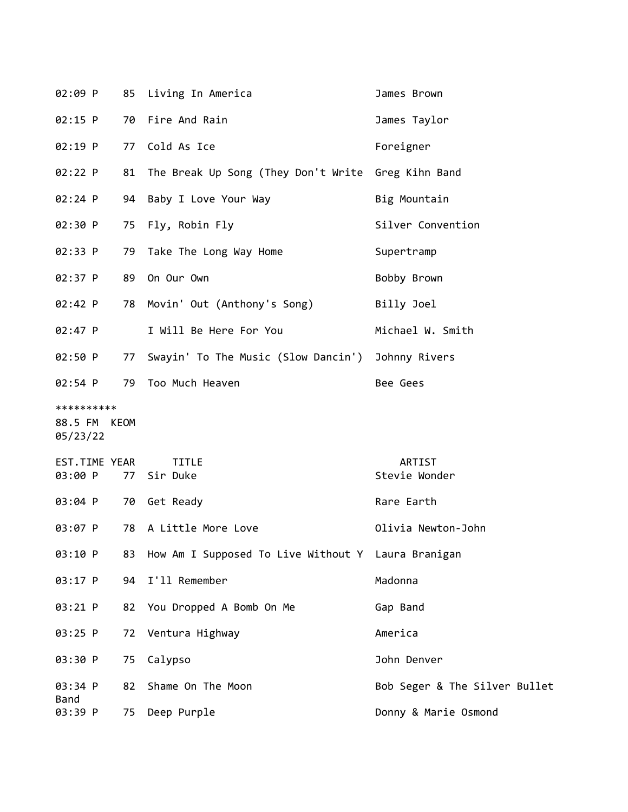| 02:09 P                                | 85 | Living In America                                  | James Brown                   |
|----------------------------------------|----|----------------------------------------------------|-------------------------------|
| $02:15$ P                              | 70 | Fire And Rain                                      | James Taylor                  |
| 02:19 P                                | 77 | Cold As Ice                                        | Foreigner                     |
| 02:22 P                                | 81 | The Break Up Song (They Don't Write Greg Kihn Band |                               |
| 02:24 P                                | 94 | Baby I Love Your Way                               | Big Mountain                  |
| 02:30 P                                |    | 75 Fly, Robin Fly                                  | Silver Convention             |
| 02:33 P                                | 79 | Take The Long Way Home                             | Supertramp                    |
| 02:37 P                                | 89 | On Our Own                                         | Bobby Brown                   |
| 02:42 P                                | 78 | Movin' Out (Anthony's Song)                        | Billy Joel                    |
| 02:47 P                                |    | I Will Be Here For You                             | Michael W. Smith              |
| 02:50 P                                | 77 | Swayin' To The Music (Slow Dancin')                | Johnny Rivers                 |
| $02:54$ P                              | 79 | Too Much Heaven                                    | Bee Gees                      |
| **********<br>88.5 FM KEOM<br>05/23/22 |    |                                                    |                               |
| EST.TIME YEAR<br>03:00 P               | 77 | <b>TITLE</b><br>Sir Duke                           | ARTIST<br>Stevie Wonder       |
| 03:04 P                                | 70 | Get Ready                                          | Rare Earth                    |
| 03:07 P                                | 78 | A Little More Love                                 | Olivia Newton-John            |
| 03:10 P                                | 83 | How Am I Supposed To Live Without Y Laura Branigan |                               |
| 03:17 P                                | 94 | I'll Remember                                      | Madonna                       |
| 03:21 P                                | 82 | You Dropped A Bomb On Me                           | Gap Band                      |
| 03:25 P                                | 72 | Ventura Highway                                    | America                       |
| 03:30 P                                | 75 | Calypso                                            | John Denver                   |
| 03:34 P                                | 82 | Shame On The Moon                                  | Bob Seger & The Silver Bullet |
| <b>Band</b><br>03:39 P                 | 75 | Deep Purple                                        | Donny & Marie Osmond          |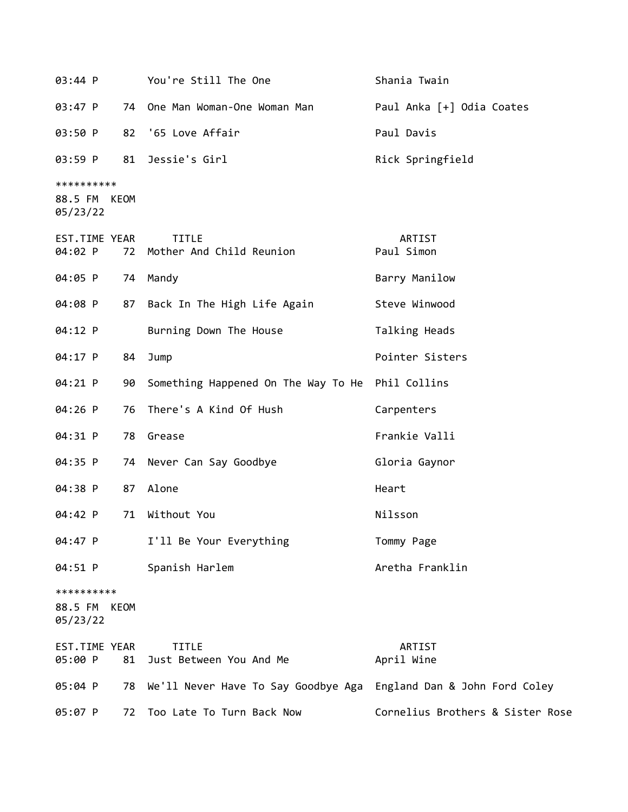| 03:44 P                                |    | You're Still The One                                                 | Shania Twain                     |
|----------------------------------------|----|----------------------------------------------------------------------|----------------------------------|
| 03:47 P                                |    | 74 One Man Woman-One Woman Man                                       | Paul Anka [+] Odia Coates        |
| 03:50 P                                |    | 82 '65 Love Affair                                                   | Paul Davis                       |
| 03:59 P                                | 81 | Jessie's Girl                                                        | Rick Springfield                 |
| **********<br>88.5 FM KEOM<br>05/23/22 |    |                                                                      |                                  |
| EST.TIME YEAR<br>04:02 P               | 72 | <b>TITLE</b><br>Mother And Child Reunion                             | ARTIST<br>Paul Simon             |
| 04:05 P                                |    | 74 Mandy                                                             | Barry Manilow                    |
| 04:08 P                                | 87 | Back In The High Life Again                                          | Steve Winwood                    |
| 04:12 P                                |    | Burning Down The House                                               | Talking Heads                    |
| 04:17 P                                | 84 | Jump                                                                 | Pointer Sisters                  |
| 04:21 P                                | 90 | Something Happened On The Way To He Phil Collins                     |                                  |
| 04:26 P                                | 76 | There's A Kind Of Hush                                               | Carpenters                       |
| 04:31 P                                |    | 78 Grease                                                            | Frankie Valli                    |
| 04:35 P                                |    | 74 Never Can Say Goodbye                                             | Gloria Gaynor                    |
| 04:38 P                                | 87 | Alone                                                                | Heart                            |
| 04:42 P                                | 71 | Without You                                                          | Nilsson                          |
| 04:47 P                                |    | I'll Be Your Everything                                              | Tommy Page                       |
| 04:51 P                                |    | Spanish Harlem                                                       | Aretha Franklin                  |
| **********<br>88.5 FM KEOM<br>05/23/22 |    |                                                                      |                                  |
| EST.TIME YEAR<br>05:00 P               | 81 | <b>TITLE</b><br>Just Between You And Me                              | ARTIST<br>April Wine             |
| 05:04 P                                |    | 78 We'll Never Have To Say Goodbye Aga England Dan & John Ford Coley |                                  |
| 05:07 P                                | 72 | Too Late To Turn Back Now                                            | Cornelius Brothers & Sister Rose |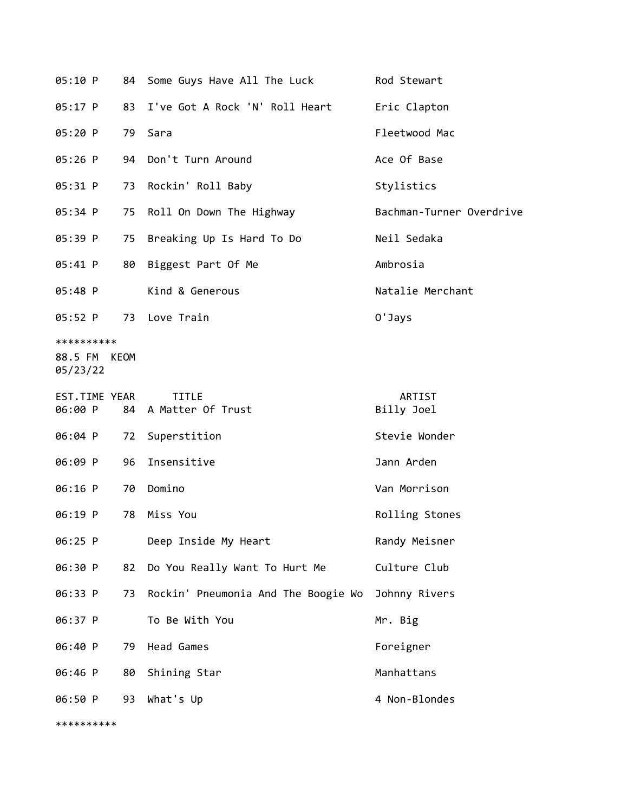| 05:10 P                                | 84 | Some Guys Have All The Luck          | Rod Stewart              |
|----------------------------------------|----|--------------------------------------|--------------------------|
| 05:17 P                                | 83 | I've Got A Rock 'N' Roll Heart       | Eric Clapton             |
| 05:20 P                                | 79 | Sara                                 | Fleetwood Mac            |
| 05:26 P                                | 94 | Don't Turn Around                    | Ace Of Base              |
| 05:31 P                                | 73 | Rockin' Roll Baby                    | Stylistics               |
| 05:34 P                                | 75 | Roll On Down The Highway             | Bachman-Turner Overdrive |
| 05:39 P                                | 75 | Breaking Up Is Hard To Do            | Neil Sedaka              |
| 05:41 P                                | 80 | Biggest Part Of Me                   | Ambrosia                 |
| 05:48 P                                |    | Kind & Generous                      | Natalie Merchant         |
| 05:52 P                                |    | 73 Love Train                        | 0'Jays                   |
| **********<br>88.5 FM KEOM<br>05/23/22 |    |                                      |                          |
| EST.TIME YEAR<br>06:00 P               |    | <b>TITLE</b><br>84 A Matter Of Trust | ARTIST                   |
|                                        |    |                                      | Billy Joel               |
| 06:04 P                                |    | 72 Superstition                      | Stevie Wonder            |
| 06:09 P                                | 96 | Insensitive                          | Jann Arden               |
| 06:16 P                                | 70 | Domino                               | Van Morrison             |
| 06:19 P                                | 78 | Miss You                             | Rolling Stones           |
| 06:25 P                                |    | Deep Inside My Heart                 | Randy Meisner            |
| 06:30 P                                | 82 | Do You Really Want To Hurt Me        | Culture Club             |
| 06:33 P                                | 73 | Rockin' Pneumonia And The Boogie Wo  | Johnny Rivers            |
| 06:37 P                                |    | To Be With You                       | Mr. Big                  |
| 06:40 P                                | 79 | Head Games                           | Foreigner                |
| 06:46 P                                | 80 | Shining Star                         | Manhattans               |
| 06:50 P                                | 93 | What's Up                            | 4 Non-Blondes            |
| **********                             |    |                                      |                          |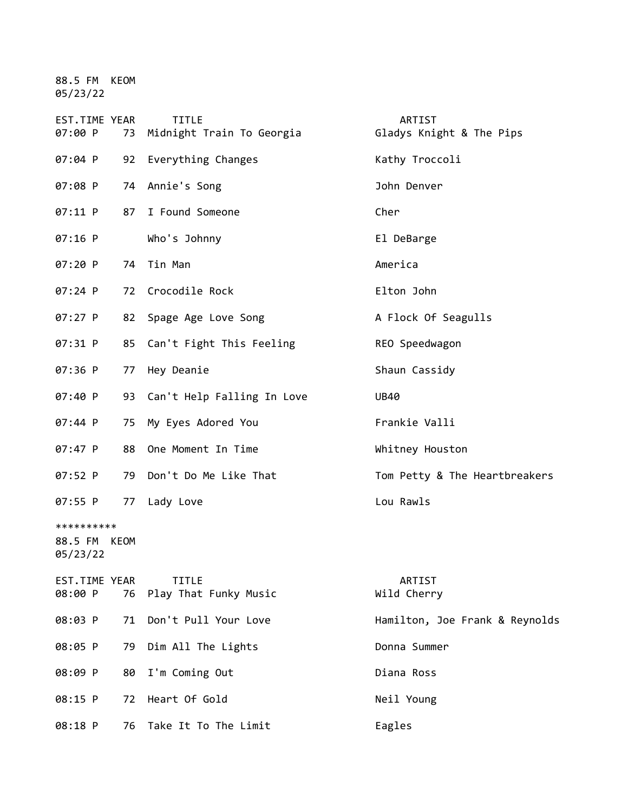88.5 FM KEOM 05/23/22

| EST.TIME YEAR<br>07:00 P               | 73 | <b>TITLE</b><br>Midnight Train To Georgia | ARTIST<br>Gladys Knight & The Pips |
|----------------------------------------|----|-------------------------------------------|------------------------------------|
| $07:04$ P                              |    | 92 Everything Changes                     | Kathy Troccoli                     |
| 07:08 P                                |    | 74 Annie's Song                           | John Denver                        |
| 07:11 P                                | 87 | I Found Someone                           | Cher                               |
| $07:16$ P                              |    | Who's Johnny                              | El DeBarge                         |
| 07:20 P                                |    | 74 Tin Man                                | America                            |
| $07:24$ P                              |    | 72 Crocodile Rock                         | Elton John                         |
| 07:27 P                                |    | 82 Spage Age Love Song                    | A Flock Of Seagulls                |
| 07:31 P                                |    | 85 Can't Fight This Feeling               | REO Speedwagon                     |
| 07:36 P                                | 77 | Hey Deanie                                | Shaun Cassidy                      |
| 07:40 P                                |    | 93 Can't Help Falling In Love             | <b>UB40</b>                        |
| 07:44 P                                | 75 | My Eyes Adored You                        | Frankie Valli                      |
| 07:47 P                                |    | 88 One Moment In Time                     | Whitney Houston                    |
| 07:52 P                                |    | 79 Don't Do Me Like That                  | Tom Petty & The Heartbreakers      |
| 07:55 P                                |    | 77 Lady Love                              | Lou Rawls                          |
| **********<br>88.5 FM KEOM<br>05/23/22 |    |                                           |                                    |
| <b>EST.TIME YEAR</b><br>08:00 P        | 76 | <b>TITLE</b><br>Play That Funky Music     | ARTIST<br>Wild Cherry              |
| 08:03 P                                | 71 | Don't Pull Your Love                      | Hamilton, Joe Frank & Reynolds     |
| 08:05 P                                | 79 | Dim All The Lights                        | Donna Summer                       |
| 08:09 P                                | 80 | I'm Coming Out                            | Diana Ross                         |
| 08:15 P                                | 72 | Heart Of Gold                             | Neil Young                         |
| 08:18 P                                | 76 | Take It To The Limit                      | Eagles                             |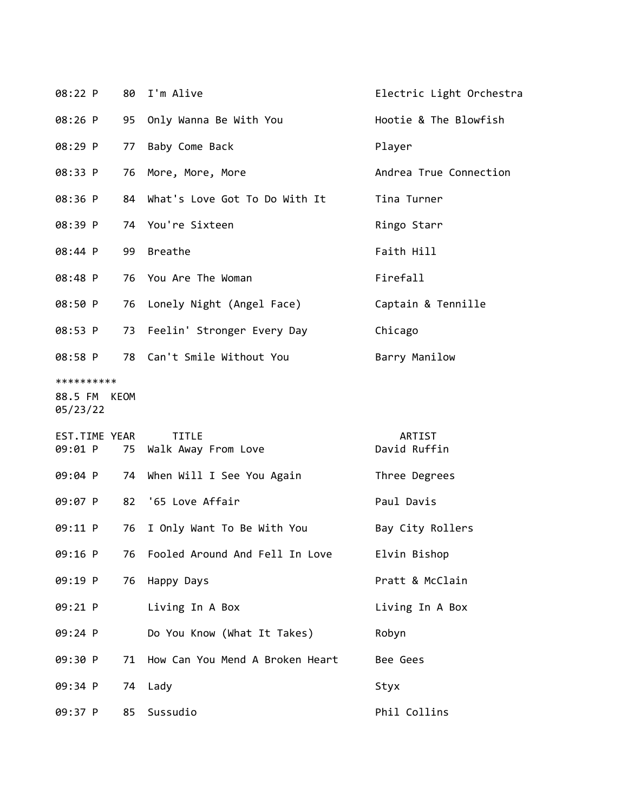| 08:22 P                  |    | 80 I'm Alive                     | Electric Light Orchestra |  |  |
|--------------------------|----|----------------------------------|--------------------------|--|--|
| 08:26 P                  |    | 95 Only Wanna Be With You        | Hootie & The Blowfish    |  |  |
| 08:29 P                  | 77 | Baby Come Back                   | Player                   |  |  |
| 08:33 P                  |    | 76 More, More, More              | Andrea True Connection   |  |  |
| 08:36 P                  |    | 84 What's Love Got To Do With It | Tina Turner              |  |  |
| 08:39 P                  |    | 74 You're Sixteen                | Ringo Starr              |  |  |
| 08:44 P                  |    | 99 Breathe                       | Faith Hill               |  |  |
| 08:48 P                  |    | 76 You Are The Woman             | Firefall                 |  |  |
| 08:50 P                  |    | 76 Lonely Night (Angel Face)     | Captain & Tennille       |  |  |
| 08:53 P                  |    | 73 Feelin' Stronger Every Day    | Chicago                  |  |  |
| 08:58 P                  |    | 78 Can't Smile Without You       | Barry Manilow            |  |  |
| **********               |    |                                  |                          |  |  |
| 88.5 FM KEOM<br>05/23/22 |    |                                  |                          |  |  |
| EST.TIME YEAR            |    | <b>TITLE</b>                     | <b>ARTIST</b>            |  |  |
|                          |    | 09:01 P 75 Walk Away From Love   | David Ruffin             |  |  |

|           | 09:04 P 74 When Will I See You Again | Three Degrees    |
|-----------|--------------------------------------|------------------|
|           | 09:07 P 82 '65 Love Affair           | Paul Davis       |
| 09:11 P   | 76 I Only Want To Be With You        | Bay City Rollers |
| 09:16 P   | 76 Fooled Around And Fell In Love    | Elvin Bishop     |
| $09:19$ P | 76 Happy Days                        | Pratt & McClain  |
| $09:21$ P | Living In A Box                      | Living In A Box  |
| $09:24$ P | Do You Know (What It Takes)          | Robyn            |
| 09:30 P   | 71 How Can You Mend A Broken Heart   | Bee Gees         |
| 09:34 P   | 74 Lady                              | Styx             |
| $09:37$ P | 85 Sussudio                          | Phil Collins     |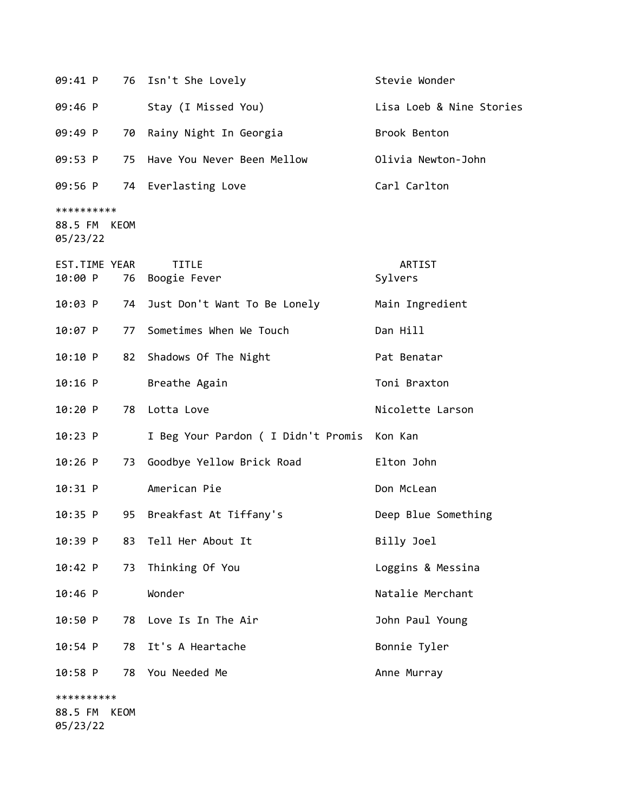| 09:41 P                                |    | 76 Isn't She Lovely                         | Stevie Wonder            |  |  |
|----------------------------------------|----|---------------------------------------------|--------------------------|--|--|
| 09:46 P                                |    | Stay (I Missed You)                         | Lisa Loeb & Nine Stories |  |  |
| 09:49 P                                | 70 | Rainy Night In Georgia                      | Brook Benton             |  |  |
| 09:53 P                                | 75 | Have You Never Been Mellow                  | Olivia Newton-John       |  |  |
| 09:56 P                                |    | 74 Everlasting Love                         | Carl Carlton             |  |  |
| **********<br>88.5 FM KEOM<br>05/23/22 |    |                                             |                          |  |  |
| EST.TIME YEAR<br>10:00 P               |    | <b>TITLE</b><br>76 Boogie Fever             | ARTIST<br>Sylvers        |  |  |
| $10:03$ P                              | 74 | Just Don't Want To Be Lonely                | Main Ingredient          |  |  |
| 10:07 P                                | 77 | Sometimes When We Touch                     | Dan Hill                 |  |  |
| 10:10 P                                | 82 | Shadows Of The Night                        | Pat Benatar              |  |  |
| $10:16$ P                              |    | Breathe Again                               | Toni Braxton             |  |  |
| 10:20 P                                | 78 | Lotta Love                                  | Nicolette Larson         |  |  |
| 10:23 P                                |    | I Beg Your Pardon ( I Didn't Promis Kon Kan |                          |  |  |
| $10:26$ P                              | 73 | Goodbye Yellow Brick Road                   | Elton John               |  |  |
| 10:31 P                                |    | American Pie                                | Don McLean               |  |  |
| 10:35 P                                | 95 | Breakfast At Tiffany's                      | Deep Blue Something      |  |  |
| 10:39 P                                | 83 | Tell Her About It                           | Billy Joel               |  |  |
| 10:42 P                                | 73 | Thinking Of You                             | Loggins & Messina        |  |  |
| 10:46 P                                |    | Wonder                                      | Natalie Merchant         |  |  |
| 10:50 P                                | 78 | Love Is In The Air                          | John Paul Young          |  |  |
| 10:54 P                                | 78 | It's A Heartache                            | Bonnie Tyler             |  |  |
| 10:58 P                                | 78 | You Needed Me                               | Anne Murray              |  |  |
| **********                             |    |                                             |                          |  |  |
| 88.5 FM<br>KEOM                        |    |                                             |                          |  |  |

05/23/22